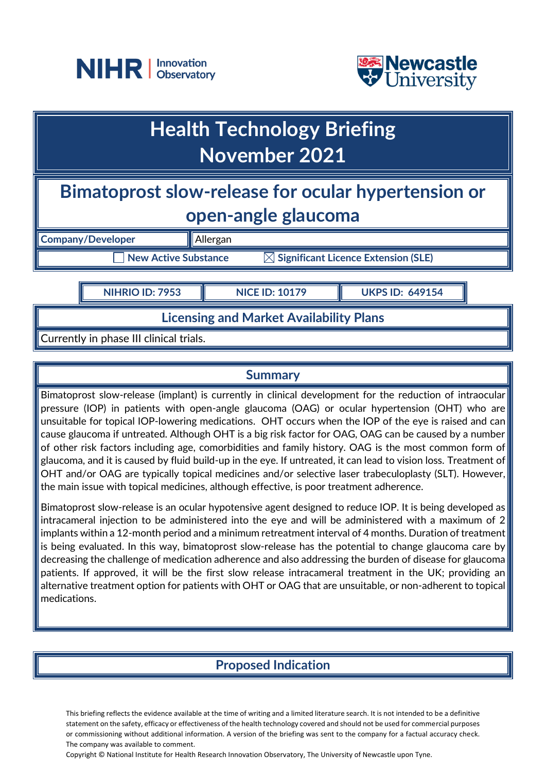



# **Health Technology Briefing November 2021**

# **Bimatoprost slow-release for ocular hypertension or open-angle glaucoma**

**Company/Developer Allergan New Active Substance ■ △ Significant Licence Extension (SLE)** 

**NIHRIO ID: 7953 NICE ID: 10179 UKPS ID: 649154**

**Licensing and Market Availability Plans**

Currently in phase III clinical trials.

#### **Summary**

Bimatoprost slow-release (implant) is currently in clinical development for the reduction of intraocular pressure (IOP) in patients with open-angle glaucoma (OAG) or ocular hypertension (OHT) who are unsuitable for topical IOP-lowering medications. OHT occurs when the IOP of the eye is raised and can cause glaucoma if untreated. Although OHT is a big risk factor for OAG, OAG can be caused by a number of other risk factors including age, comorbidities and family history. OAG is the most common form of glaucoma, and it is caused by fluid build-up in the eye. If untreated, it can lead to vision loss. Treatment of OHT and/or OAG are typically topical medicines and/or selective laser trabeculoplasty (SLT). However, the main issue with topical medicines, although effective, is poor treatment adherence.

Bimatoprost slow-release is an ocular hypotensive agent designed to reduce IOP. It is being developed as intracameral injection to be administered into the eye and will be administered with a maximum of 2 implants within a 12-month period and a minimum retreatment interval of 4 months. Duration of treatment is being evaluated. In this way, bimatoprost slow-release has the potential to change glaucoma care by decreasing the challenge of medication adherence and also addressing the burden of disease for glaucoma patients. If approved, it will be the first slow release intracameral treatment in the UK; providing an alternative treatment option for patients with OHT or OAG that are unsuitable, or non-adherent to topical medications.

# **Proposed Indication**

This briefing reflects the evidence available at the time of writing and a limited literature search. It is not intended to be a definitive statement on the safety, efficacy or effectiveness of the health technology covered and should not be used for commercial purposes or commissioning without additional information. A version of the briefing was sent to the company for a factual accuracy check. The company was available to comment.

Copyright © National Institute for Health Research Innovation Observatory, The University of Newcastle upon Tyne.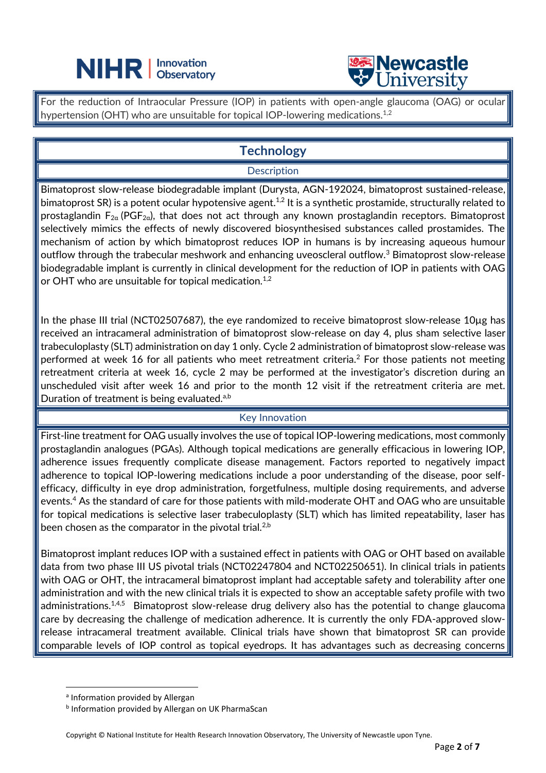# **NIHR** | Innovation



For the reduction of Intraocular Pressure (IOP) in patients with open-angle glaucoma (OAG) or ocular hypertension (OHT) who are unsuitable for topical IOP-lowering medications.<sup>1,2</sup>

 $\overline{a}$ 

# **Technology**

#### **Description**

Bimatoprost slow-release biodegradable implant (Durysta, AGN-192024, bimatoprost sustained-release, bimatoprost SR) is a potent ocular hypotensive agent.<sup>1,2</sup> It is a synthetic prostamide, structurally related to prostaglandin  $F_{2a}$  (PGF<sub>2a</sub>), that does not act through any known prostaglandin receptors. Bimatoprost selectively mimics the effects of newly discovered biosynthesised substances called prostamides. The mechanism of action by which bimatoprost reduces IOP in humans is by increasing aqueous humour outflow through the trabecular meshwork and enhancing uveoscleral outflow.<sup>3</sup> Bimatoprost slow-release biodegradable implant is currently in clinical development for the reduction of IOP in patients with OAG or OHT who are unsuitable for topical medication.<sup>1,2</sup>

In the phase III trial (NCT02507687), the eye randomized to receive bimatoprost slow-release 10µg has received an intracameral administration of bimatoprost slow-release on day 4, plus sham selective laser trabeculoplasty (SLT) administration on day 1 only. Cycle 2 administration of bimatoprost slow-release was performed at week 16 for all patients who meet retreatment criteria.<sup>2</sup> For those patients not meeting retreatment criteria at week 16, cycle 2 may be performed at the investigator's discretion during an unscheduled visit after week 16 and prior to the month 12 visit if the retreatment criteria are met. Duration of treatment is being evaluated.<sup>a,b</sup>

#### Key Innovation

First-line treatment for OAG usually involves the use of topical IOP-lowering medications, most commonly prostaglandin analogues (PGAs). Although topical medications are generally efficacious in lowering IOP, adherence issues frequently complicate disease management. Factors reported to negatively impact adherence to topical IOP-lowering medications include a poor understanding of the disease, poor selfefficacy, difficulty in eye drop administration, forgetfulness, multiple dosing requirements, and adverse events. <sup>4</sup> As the standard of care for those patients with mild-moderate OHT and OAG who are unsuitable for topical medications is selective laser trabeculoplasty (SLT) which has limited repeatability, laser has been chosen as the comparator in the pivotal trial.<sup>2,b</sup>

Bimatoprost implant reduces IOP with a sustained effect in patients with OAG or OHT based on available data from two phase III US pivotal trials (NCT02247804 and NCT02250651). In clinical trials in patients with OAG or OHT, the intracameral bimatoprost implant had acceptable safety and tolerability after one administration and with the new clinical trials it is expected to show an acceptable safety profile with two administrations.<sup>1,4,5</sup> Bimatoprost slow-release drug delivery also has the potential to change glaucoma care by decreasing the challenge of medication adherence. It is currently the only FDA-approved slowrelease intracameral treatment available. Clinical trials have shown that bimatoprost SR can provide comparable levels of IOP control as topical eyedrops. It has advantages such as decreasing concerns

a Information provided by Allergan

**b** Information provided by Allergan on UK PharmaScan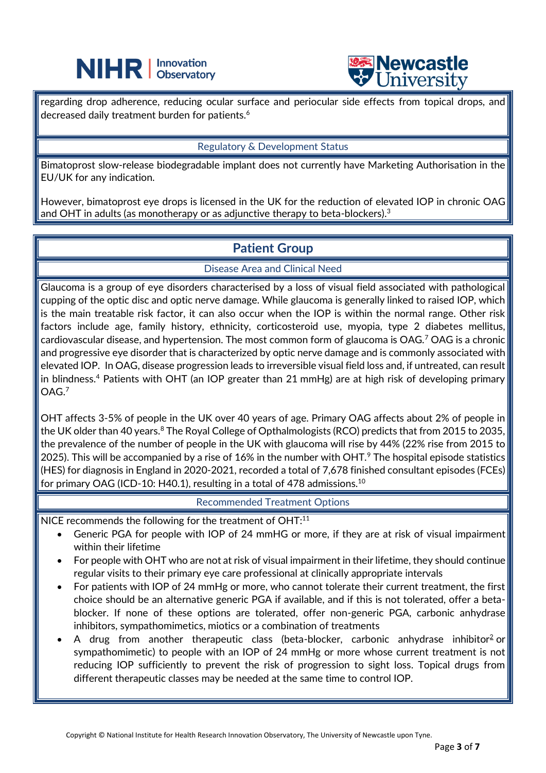



regarding drop adherence, reducing ocular surface and periocular side effects from topical drops, and decreased daily treatment burden for patients.<sup>6</sup>

 $\overline{a}$ 

#### Regulatory & Development Status

Bimatoprost slow-release biodegradable implant does not currently have Marketing Authorisation in the EU/UK for any indication.

However, bimatoprost eye drops is licensed in the UK for the reduction of elevated IOP in chronic OAG and OHT in adults (as monotherapy or as adjunctive therapy to beta-blockers). $3$ 

### **Patient Group**

Disease Area and Clinical Need

Glaucoma is a group of eye disorders characterised by a loss of visual field associated with pathological cupping of the optic disc and optic nerve damage. While glaucoma is generally linked to raised IOP, which is the main treatable risk factor, it can also occur when the IOP is within the normal range. Other risk factors include age, family history, ethnicity, corticosteroid use, myopia, type 2 diabetes mellitus, cardiovascular disease, and hypertension. The most common form of glaucoma is OAG.<sup>7</sup> OAG is a chronic and progressive eye disorder that is characterized by optic nerve damage and is commonly associated with elevated IOP. In OAG, disease progression leads to irreversible visual field loss and, if untreated, can result in blindness.<sup>4</sup> Patients with OHT (an IOP greater than 21 mmHg) are at high risk of developing primary OAG.<sup>7</sup>

OHT affects 3-5% of people in the UK over 40 years of age. Primary OAG affects about 2% of people in the UK older than 40 years.<sup>8</sup> The Royal College of Opthalmologists (RCO) predicts that from 2015 to 2035, the prevalence of the number of people in the UK with glaucoma will rise by 44% (22% rise from 2015 to 2025). This will be accompanied by a rise of 16% in the number with OHT. $\degree$  The hospital episode statistics (HES) for diagnosis in England in 2020-2021, recorded a total of 7,678 finished consultant episodes (FCEs) for primary OAG (ICD-10: H40.1), resulting in a total of 478 admissions. $^{10}$ 

Recommended Treatment Options

NICE recommends the following for the treatment of OHT:<sup>11</sup>

- Generic PGA for people with IOP of 24 mmHG or more, if they are at risk of visual impairment within their lifetime
- For people with OHT who are not at risk of visual impairment in their lifetime, they should continue regular visits to their primary eye care professional at clinically appropriate intervals
- For patients with IOP of 24 mmHg or more, who cannot tolerate their current treatment, the first choice should be an alternative generic PGA if available, and if this is not tolerated, offer a betablocker. If none of these options are tolerated, offer non-generic PGA, carbonic anhydrase inhibitors, sympathomimetics, miotics or a combination of treatments
- A drug from another therapeutic class (beta-blocker, carbonic anhydrase inhibitor<sup>[2](https://pathways.nice.org.uk/pathways/glaucoma#pathways-glaucoma-paths-managing-glaucoma-nodes-ocular-hypertension-treatment-fullcontent-footnote-ee8e2a839a2f41d99cb2d9cdb965ca17)</sup> or sympathomimetic) to people with an IOP of 24 mmHg or more whose current treatment is not reducing IOP sufficiently to prevent the risk of progression to sight loss. Topical drugs from different therapeutic classes may be needed at the same time to control IOP.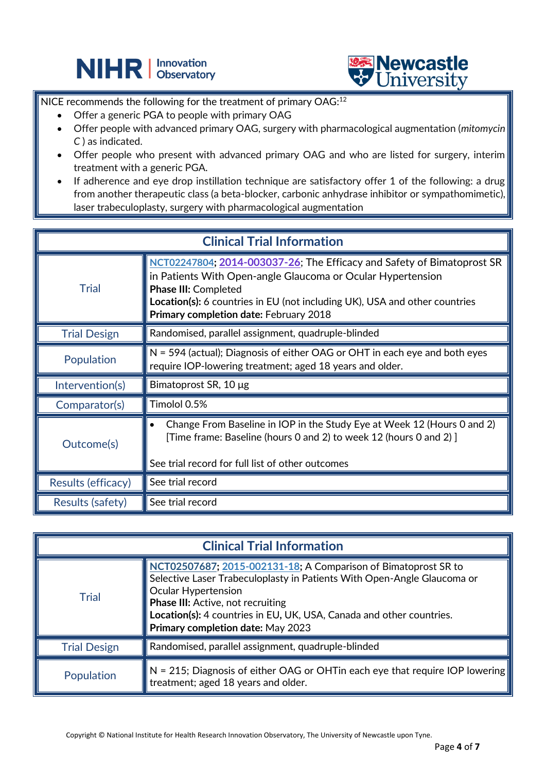



NICE recommends the following for the treatment of primary OAG:<sup>12</sup>

 $\overline{a}$ 

- Offer a generic PGA to people with primary OAG
- Offer people with advanced primary OAG, surgery with pharmacological augmentation (*mitomycin C* ) as indicated.
- Offer people who present with advanced primary OAG and who are listed for surgery, interim treatment with a generic PGA.
- If adherence and eye drop instillation technique are satisfactory offer 1 of the following: a drug from another therapeutic class (a beta-blocker, carbonic anhydrase inhibitor or sympathomimetic), laser trabeculoplasty, surgery with pharmacological augmentation

| <b>Clinical Trial Information</b> |                                                                                                                                                                                                                                                                                              |
|-----------------------------------|----------------------------------------------------------------------------------------------------------------------------------------------------------------------------------------------------------------------------------------------------------------------------------------------|
| Trial                             | NCT02247804; 2014-003037-26; The Efficacy and Safety of Bimatoprost SR<br>in Patients With Open-angle Glaucoma or Ocular Hypertension<br><b>Phase III: Completed</b><br>Location(s): 6 countries in EU (not including UK), USA and other countries<br>Primary completion date: February 2018 |
| <b>Trial Design</b>               | Randomised, parallel assignment, quadruple-blinded                                                                                                                                                                                                                                           |
| Population                        | N = 594 (actual); Diagnosis of either OAG or OHT in each eye and both eyes<br>require IOP-lowering treatment; aged 18 years and older.                                                                                                                                                       |
| Intervention(s)                   | Bimatoprost SR, 10 µg                                                                                                                                                                                                                                                                        |
| Comparator(s)                     | Timolol 0.5%                                                                                                                                                                                                                                                                                 |
| Outcome(s)                        | Change From Baseline in IOP in the Study Eye at Week 12 (Hours 0 and 2)<br>$\bullet$<br>[Time frame: Baseline (hours 0 and 2) to week 12 (hours 0 and 2)]<br>See trial record for full list of other outcomes                                                                                |
| Results (efficacy)                | See trial record                                                                                                                                                                                                                                                                             |
| <b>Results (safety)</b>           | See trial record                                                                                                                                                                                                                                                                             |

| <b>Clinical Trial Information</b> |                                                                                                                                                                                                                                                                                                                    |  |
|-----------------------------------|--------------------------------------------------------------------------------------------------------------------------------------------------------------------------------------------------------------------------------------------------------------------------------------------------------------------|--|
| <b>Trial</b>                      | NCT02507687; 2015-002131-18; A Comparison of Bimatoprost SR to<br>Selective Laser Trabeculoplasty in Patients With Open-Angle Glaucoma or<br>Ocular Hypertension<br>Phase III: Active, not recruiting<br>Location(s): 4 countries in EU, UK, USA, Canada and other countries.<br>Primary completion date: May 2023 |  |
| <b>Trial Design</b>               | $\parallel$ Randomised, parallel assignment, quadruple-blinded                                                                                                                                                                                                                                                     |  |
| Population                        | $\mathbb N$ = 215; Diagnosis of either OAG or OHTin each eye that require IOP lowering<br>treatment; aged 18 years and older.                                                                                                                                                                                      |  |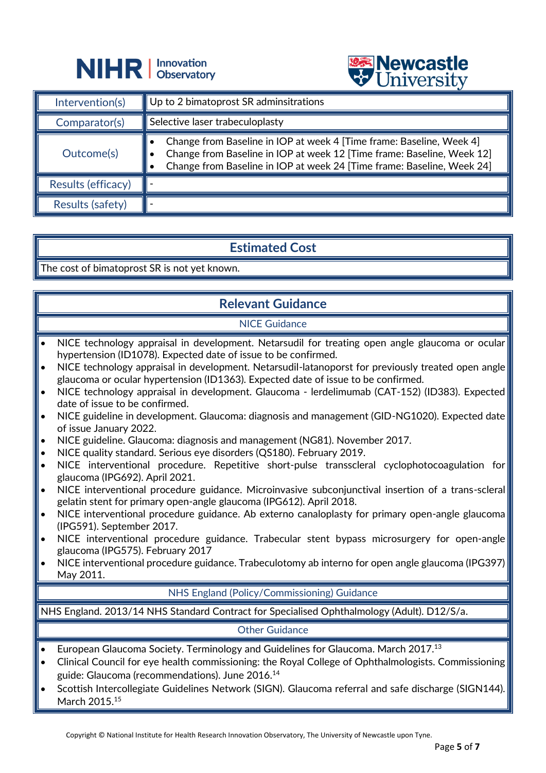



|                    | $\triangledown$ $\cup$ $\cdots$                                                                                                                                                                                          |
|--------------------|--------------------------------------------------------------------------------------------------------------------------------------------------------------------------------------------------------------------------|
| Intervention(s)    | $\parallel$ Up to 2 bimatoprost SR adminsitrations                                                                                                                                                                       |
| Comparator(s)      | $\parallel$ Selective laser trabeculoplasty                                                                                                                                                                              |
| Outcome(s)         | Change from Baseline in IOP at week 4 [Time frame: Baseline, Week 4]<br>Change from Baseline in IOP at week 12 [Time frame: Baseline, Week 12]<br>Change from Baseline in IOP at week 24 [Time frame: Baseline, Week 24] |
| Results (efficacy) |                                                                                                                                                                                                                          |
| Results (safety)   |                                                                                                                                                                                                                          |

# **Estimated Cost**

The cost of bimatoprost SR is not yet known.

# **Relevant Guidance**

#### NICE Guidance

- NICE technology appraisal in development. Netarsudil for treating open angle glaucoma or ocular hypertension (ID1078). Expected date of issue to be confirmed.
- NICE technology appraisal in development. Netarsudil-latanoporst for previously treated open angle glaucoma or ocular hypertension (ID1363). Expected date of issue to be confirmed.
- NICE technology appraisal in development. Glaucoma lerdelimumab (CAT-152) (ID383). Expected date of issue to be confirmed.
- NICE guideline in development. Glaucoma: diagnosis and management (GID-NG1020). Expected date of issue January 2022.
- NICE guideline. Glaucoma: diagnosis and management (NG81). November 2017.
- NICE quality standard. Serious eye disorders (QS180). February 2019.
- NICE interventional procedure. Repetitive short-pulse transscleral cyclophotocoagulation for glaucoma (IPG692). April 2021.
- NICE interventional procedure guidance. Microinvasive subconjunctival insertion of a trans-scleral gelatin stent for primary open-angle glaucoma (IPG612). April 2018.
- NICE interventional procedure guidance. Ab externo canaloplasty for primary open-angle glaucoma (IPG591). September 2017.
- NICE interventional procedure guidance. Trabecular stent bypass microsurgery for open-angle glaucoma (IPG575). February 2017
- NICE interventional procedure guidance. Trabeculotomy ab interno for open angle glaucoma (IPG397) May 2011.

#### NHS England (Policy/Commissioning) Guidance

• NHS England. 2013/14 NHS Standard Contract for Specialised Ophthalmology (Adult). D12/S/a.

#### Other Guidance

- European Glaucoma Society. Terminology and Guidelines for Glaucoma. March 2017.<sup>13</sup>
- Clinical Council for eye health commissioning: the Royal College of Ophthalmologists. Commissioning guide: Glaucoma (recommendations). June 2016.<sup>14</sup>
- Scottish Intercollegiate Guidelines Network (SIGN). Glaucoma referral and safe discharge (SIGN144). March 2015<sup>15</sup>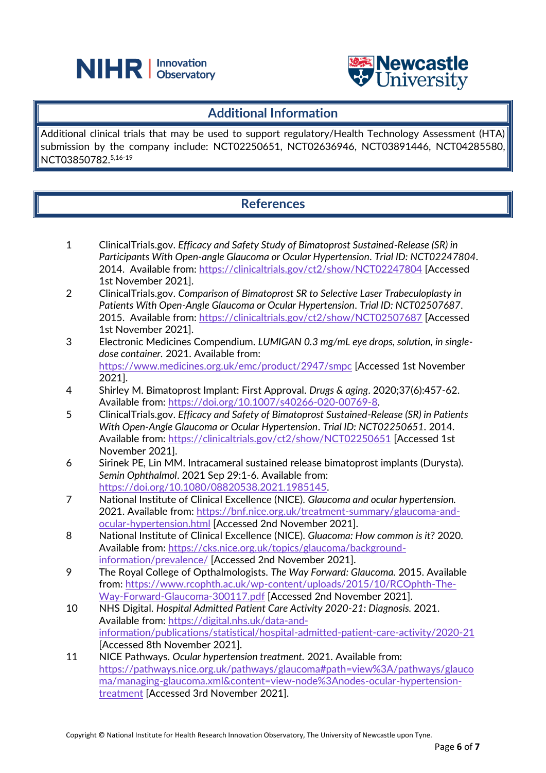



#### **Additional Information**

Additional clinical trials that may be used to support regulatory/Health Technology Assessment (HTA) submission by the company include: NCT02250651, NCT02636946, NCT03891446, NCT04285580, NCT03850782. 5,16-19

# **References**

- 1 ClinicalTrials.gov. *Efficacy and Safety Study of Bimatoprost Sustained-Release (SR) in Participants With Open-angle Glaucoma or Ocular Hypertension*. *Trial ID: NCT02247804*. 2014. Available from:<https://clinicaltrials.gov/ct2/show/NCT02247804> [Accessed 1st November 2021].
- 2 ClinicalTrials.gov. *Comparison of Bimatoprost SR to Selective Laser Trabeculoplasty in Patients With Open-Angle Glaucoma or Ocular Hypertension*. *Trial ID: NCT02507687*. 2015. Available from:<https://clinicaltrials.gov/ct2/show/NCT02507687> [Accessed 1st November 2021].
- 3 Electronic Medicines Compendium. *LUMIGAN 0.3 mg/mL eye drops, solution, in singledose container.* 2021. Available from: <https://www.medicines.org.uk/emc/product/2947/smpc> [Accessed 1st November 2021].
- 4 Shirley M. Bimatoprost Implant: First Approval. *Drugs & aging*. 2020;37(6):457-62. Available from: [https://doi.org/10.1007/s40266-020-00769-8.](https://doi.org/10.1007/s40266-020-00769-8)
- 5 ClinicalTrials.gov. *Efficacy and Safety of Bimatoprost Sustained-Release (SR) in Patients With Open-Angle Glaucoma or Ocular Hypertension*. *Trial ID: NCT02250651*. 2014. Available from:<https://clinicaltrials.gov/ct2/show/NCT02250651> [Accessed 1st November 2021].
- 6 Sirinek PE, Lin MM. Intracameral sustained release bimatoprost implants (Durysta). *Semin Ophthalmol*. 2021 Sep 29:1-6. Available from: [https://doi.org/10.1080/08820538.2021.1985145.](https://doi.org/10.1080/08820538.2021.1985145)
- 7 National Institute of Clinical Excellence (NICE). *Glaucoma and ocular hypertension.* 2021. Available from: [https://bnf.nice.org.uk/treatment-summary/glaucoma-and](https://bnf.nice.org.uk/treatment-summary/glaucoma-and-ocular-hypertension.html)[ocular-hypertension.html](https://bnf.nice.org.uk/treatment-summary/glaucoma-and-ocular-hypertension.html) [Accessed 2nd November 2021].
- 8 National Institute of Clinical Excellence (NICE). *Gluacoma: How common is it?* 2020. Available from: [https://cks.nice.org.uk/topics/glaucoma/background](https://cks.nice.org.uk/topics/glaucoma/background-information/prevalence/)[information/prevalence/](https://cks.nice.org.uk/topics/glaucoma/background-information/prevalence/) [Accessed 2nd November 2021].
- 9 The Royal College of Opthalmologists. *The Way Forward: Glaucoma.* 2015. Available from[: https://www.rcophth.ac.uk/wp-content/uploads/2015/10/RCOphth-The-](https://www.rcophth.ac.uk/wp-content/uploads/2015/10/RCOphth-The-Way-Forward-Glaucoma-300117.pdf)[Way-Forward-Glaucoma-300117.pdf](https://www.rcophth.ac.uk/wp-content/uploads/2015/10/RCOphth-The-Way-Forward-Glaucoma-300117.pdf) [Accessed 2nd November 2021].
- 10 NHS Digital. *Hospital Admitted Patient Care Activity 2020-21: Diagnosis.* 2021. Available from: [https://digital.nhs.uk/data-and](https://digital.nhs.uk/data-and-information/publications/statistical/hospital-admitted-patient-care-activity/2020-21)[information/publications/statistical/hospital-admitted-patient-care-activity/2020-21](https://digital.nhs.uk/data-and-information/publications/statistical/hospital-admitted-patient-care-activity/2020-21) [Accessed 8th November 2021].
- 11 NICE Pathways. *Ocular hypertension treatment.* 2021. Available from: [https://pathways.nice.org.uk/pathways/glaucoma#path=view%3A/pathways/glauco](https://pathways.nice.org.uk/pathways/glaucoma#path=view%3A/pathways/glaucoma/managing-glaucoma.xml&content=view-node%3Anodes-ocular-hypertension-treatment) [ma/managing-glaucoma.xml&content=view-node%3Anodes-ocular-hypertension](https://pathways.nice.org.uk/pathways/glaucoma#path=view%3A/pathways/glaucoma/managing-glaucoma.xml&content=view-node%3Anodes-ocular-hypertension-treatment)[treatment](https://pathways.nice.org.uk/pathways/glaucoma#path=view%3A/pathways/glaucoma/managing-glaucoma.xml&content=view-node%3Anodes-ocular-hypertension-treatment) [Accessed 3rd November 2021].